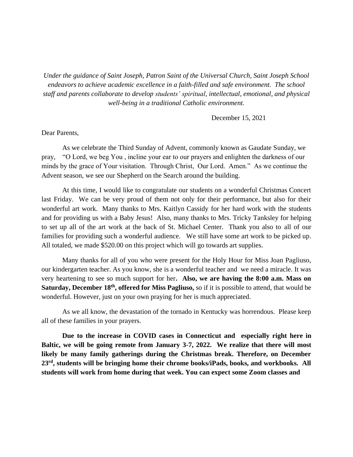*Under the guidance of Saint Joseph, Patron Saint of the Universal Church, Saint Joseph School endeavors to achieve academic excellence in a faith-filled and safe environment. The school staff and parents collaborate to develop students' spiritual, intellectual, emotional, and physical well-being in a traditional Catholic environment.*

December 15, 2021

## Dear Parents,

As we celebrate the Third Sunday of Advent, commonly known as Gaudate Sunday, we pray, "O Lord, we beg You , incline your ear to our prayers and enlighten the darkness of our minds by the grace of Your visitation. Through Christ, Our Lord. Amen." As we continue the Advent season, we see our Shepherd on the Search around the building.

At this time, I would like to congratulate our students on a wonderful Christmas Concert last Friday. We can be very proud of them not only for their performance, but also for their wonderful art work. Many thanks to Mrs. Kaitlyn Cassidy for her hard work with the students and for providing us with a Baby Jesus! Also, many thanks to Mrs. Tricky Tanksley for helping to set up all of the art work at the back of St. Michael Center. Thank you also to all of our families for providing such a wonderful audience. We still have some art work to be picked up. All totaled, we made \$520.00 on this project which will go towards art supplies.

Many thanks for all of you who were present for the Holy Hour for Miss Joan Pagliuso, our kindergarten teacher. As you know, she is a wonderful teacher and we need a miracle. It was very heartening to see so much support for her**. Also, we are having the 8:00 a.m. Mass on Saturday, December 18th, offered for Miss Pagliuso,** so if it is possible to attend, that would be wonderful. However, just on your own praying for her is much appreciated.

As we all know, the devastation of the tornado in Kentucky was horrendous. Please keep all of these families in your prayers.

**Due to the increase in COVID cases in Connecticut and especially right here in Baltic, we will be going remote from January 3-7, 2022. We realize that there will most likely be many family gatherings during the Christmas break. Therefore, on December 23rd , students will be bringing home their chrome books/iPads, books, and workbooks. All students will work from home during that week. You can expect some Zoom classes and**